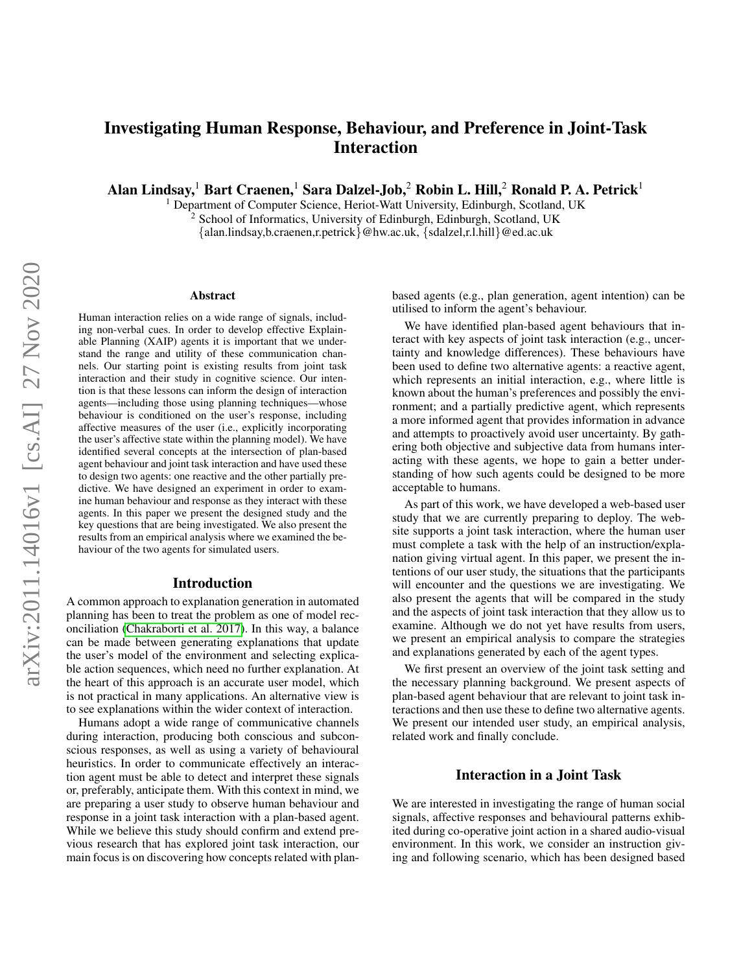# Investigating Human Response, Behaviour, and Preference in Joint-Task Interaction

Alan Lindsay,<sup>1</sup> Bart Craenen,<sup>1</sup> Sara Dalzel-Job,<sup>2</sup> Robin L. Hill,<sup>2</sup> Ronald P. A. Petrick<sup>1</sup>

<sup>1</sup> Department of Computer Science, Heriot-Watt University, Edinburgh, Scotland, UK <sup>2</sup> School of Informatics, University of Edinburgh, Edinburgh, Scotland, UK

{alan.lindsay,b.craenen,r.petrick}@hw.ac.uk, {sdalzel,r.l.hill}@ed.ac.uk

#### Abstract

Human interaction relies on a wide range of signals, including non-verbal cues. In order to develop effective Explainable Planning (XAIP) agents it is important that we understand the range and utility of these communication channels. Our starting point is existing results from joint task interaction and their study in cognitive science. Our intention is that these lessons can inform the design of interaction agents—including those using planning techniques—whose behaviour is conditioned on the user's response, including affective measures of the user (i.e., explicitly incorporating the user's affective state within the planning model). We have identified several concepts at the intersection of plan-based agent behaviour and joint task interaction and have used these to design two agents: one reactive and the other partially predictive. We have designed an experiment in order to examine human behaviour and response as they interact with these agents. In this paper we present the designed study and the key questions that are being investigated. We also present the results from an empirical analysis where we examined the behaviour of the two agents for simulated users.

#### Introduction

A common approach to explanation generation in automated planning has been to treat the problem as one of model reconciliation [\(Chakraborti et al. 2017\)](#page-8-0). In this way, a balance can be made between generating explanations that update the user's model of the environment and selecting explicable action sequences, which need no further explanation. At the heart of this approach is an accurate user model, which is not practical in many applications. An alternative view is to see explanations within the wider context of interaction.

Humans adopt a wide range of communicative channels during interaction, producing both conscious and subconscious responses, as well as using a variety of behavioural heuristics. In order to communicate effectively an interaction agent must be able to detect and interpret these signals or, preferably, anticipate them. With this context in mind, we are preparing a user study to observe human behaviour and response in a joint task interaction with a plan-based agent. While we believe this study should confirm and extend previous research that has explored joint task interaction, our main focus is on discovering how concepts related with planbased agents (e.g., plan generation, agent intention) can be utilised to inform the agent's behaviour.

We have identified plan-based agent behaviours that interact with key aspects of joint task interaction (e.g., uncertainty and knowledge differences). These behaviours have been used to define two alternative agents: a reactive agent, which represents an initial interaction, e.g., where little is known about the human's preferences and possibly the environment; and a partially predictive agent, which represents a more informed agent that provides information in advance and attempts to proactively avoid user uncertainty. By gathering both objective and subjective data from humans interacting with these agents, we hope to gain a better understanding of how such agents could be designed to be more acceptable to humans.

As part of this work, we have developed a web-based user study that we are currently preparing to deploy. The website supports a joint task interaction, where the human user must complete a task with the help of an instruction/explanation giving virtual agent. In this paper, we present the intentions of our user study, the situations that the participants will encounter and the questions we are investigating. We also present the agents that will be compared in the study and the aspects of joint task interaction that they allow us to examine. Although we do not yet have results from users, we present an empirical analysis to compare the strategies and explanations generated by each of the agent types.

We first present an overview of the joint task setting and the necessary planning background. We present aspects of plan-based agent behaviour that are relevant to joint task interactions and then use these to define two alternative agents. We present our intended user study, an empirical analysis, related work and finally conclude.

#### Interaction in a Joint Task

We are interested in investigating the range of human social signals, affective responses and behavioural patterns exhibited during co-operative joint action in a shared audio-visual environment. In this work, we consider an instruction giving and following scenario, which has been designed based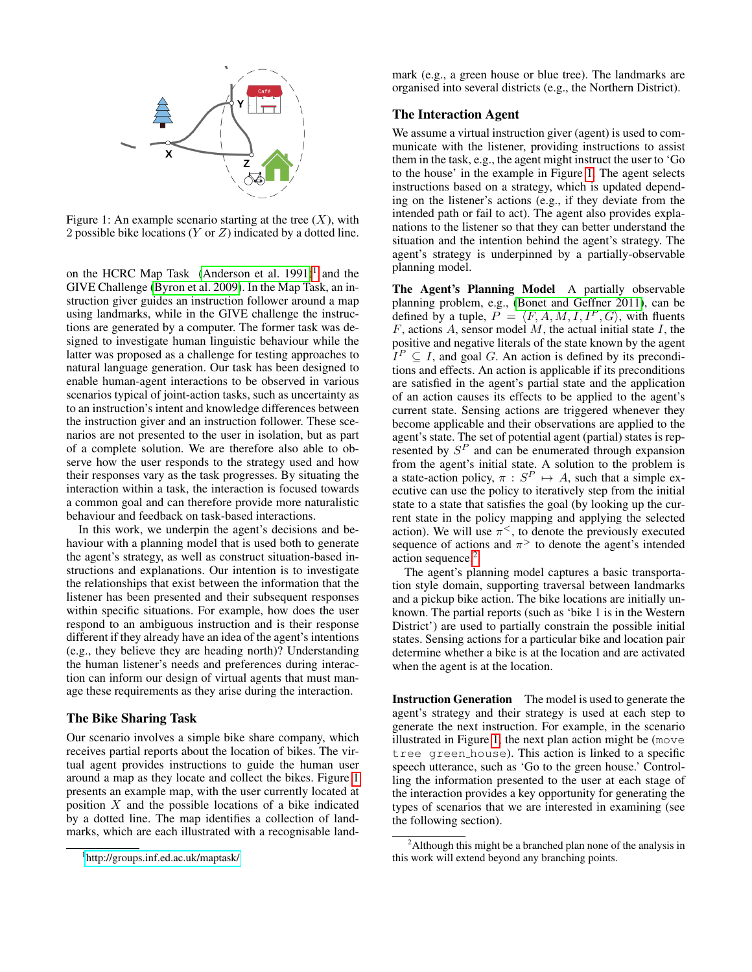

<span id="page-1-1"></span>Figure 1: An example scenario starting at the tree  $(X)$ , with 2 possible bike locations (Y or Z) indicated by a dotted line.

on the HCRC Map Task (Anderson et al.  $1991$  $1991$ )<sup>1</sup> and the GIVE Challenge [\(Byron et al. 2009\)](#page-8-2). In the Map Task, an instruction giver guides an instruction follower around a map using landmarks, while in the GIVE challenge the instructions are generated by a computer. The former task was designed to investigate human linguistic behaviour while the latter was proposed as a challenge for testing approaches to natural language generation. Our task has been designed to enable human-agent interactions to be observed in various scenarios typical of joint-action tasks, such as uncertainty as to an instruction's intent and knowledge differences between the instruction giver and an instruction follower. These scenarios are not presented to the user in isolation, but as part of a complete solution. We are therefore also able to observe how the user responds to the strategy used and how their responses vary as the task progresses. By situating the interaction within a task, the interaction is focused towards a common goal and can therefore provide more naturalistic behaviour and feedback on task-based interactions.

In this work, we underpin the agent's decisions and behaviour with a planning model that is used both to generate the agent's strategy, as well as construct situation-based instructions and explanations. Our intention is to investigate the relationships that exist between the information that the listener has been presented and their subsequent responses within specific situations. For example, how does the user respond to an ambiguous instruction and is their response different if they already have an idea of the agent's intentions (e.g., they believe they are heading north)? Understanding the human listener's needs and preferences during interaction can inform our design of virtual agents that must manage these requirements as they arise during the interaction.

#### The Bike Sharing Task

Our scenario involves a simple bike share company, which receives partial reports about the location of bikes. The virtual agent provides instructions to guide the human user around a map as they locate and collect the bikes. Figure [1](#page-1-1) presents an example map, with the user currently located at position  $X$  and the possible locations of a bike indicated by a dotted line. The map identifies a collection of landmarks, which are each illustrated with a recognisable land-

mark (e.g., a green house or blue tree). The landmarks are organised into several districts (e.g., the Northern District).

# The Interaction Agent

We assume a virtual instruction giver (agent) is used to communicate with the listener, providing instructions to assist them in the task, e.g., the agent might instruct the user to 'Go to the house' in the example in Figure [1.](#page-1-1) The agent selects instructions based on a strategy, which is updated depending on the listener's actions (e.g., if they deviate from the intended path or fail to act). The agent also provides explanations to the listener so that they can better understand the situation and the intention behind the agent's strategy. The agent's strategy is underpinned by a partially-observable planning model.

The Agent's Planning Model A partially observable planning problem, e.g., [\(Bonet and Geffner 2011\)](#page-8-3), can be defined by a tuple,  $P = \langle F, A, M, I, I^P, G \rangle$ , with fluents  $F$ , actions  $A$ , sensor model  $M$ , the actual initial state  $I$ , the positive and negative literals of the state known by the agent  $I^P \subseteq I$ , and goal G. An action is defined by its preconditions and effects. An action is applicable if its preconditions are satisfied in the agent's partial state and the application of an action causes its effects to be applied to the agent's current state. Sensing actions are triggered whenever they become applicable and their observations are applied to the agent's state. The set of potential agent (partial) states is represented by  $S<sup>P</sup>$  and can be enumerated through expansion from the agent's initial state. A solution to the problem is a state-action policy,  $\pi : S^P \mapsto A$ , such that a simple executive can use the policy to iteratively step from the initial state to a state that satisfies the goal (by looking up the current state in the policy mapping and applying the selected action). We will use  $\pi^<$ , to denote the previously executed sequence of actions and  $\pi$ <sup>></sup> to denote the agent's intended action sequence.<sup>[2](#page-1-2)</sup>

The agent's planning model captures a basic transportation style domain, supporting traversal between landmarks and a pickup bike action. The bike locations are initially unknown. The partial reports (such as 'bike 1 is in the Western District') are used to partially constrain the possible initial states. Sensing actions for a particular bike and location pair determine whether a bike is at the location and are activated when the agent is at the location.

Instruction Generation The model is used to generate the agent's strategy and their strategy is used at each step to generate the next instruction. For example, in the scenario illustrated in Figure [1,](#page-1-1) the next plan action might be (move tree green house). This action is linked to a specific speech utterance, such as 'Go to the green house.' Controlling the information presented to the user at each stage of the interaction provides a key opportunity for generating the types of scenarios that we are interested in examining (see the following section).

<span id="page-1-0"></span><sup>1</sup> <http://groups.inf.ed.ac.uk/maptask/>

<span id="page-1-2"></span><sup>&</sup>lt;sup>2</sup>Although this might be a branched plan none of the analysis in this work will extend beyond any branching points.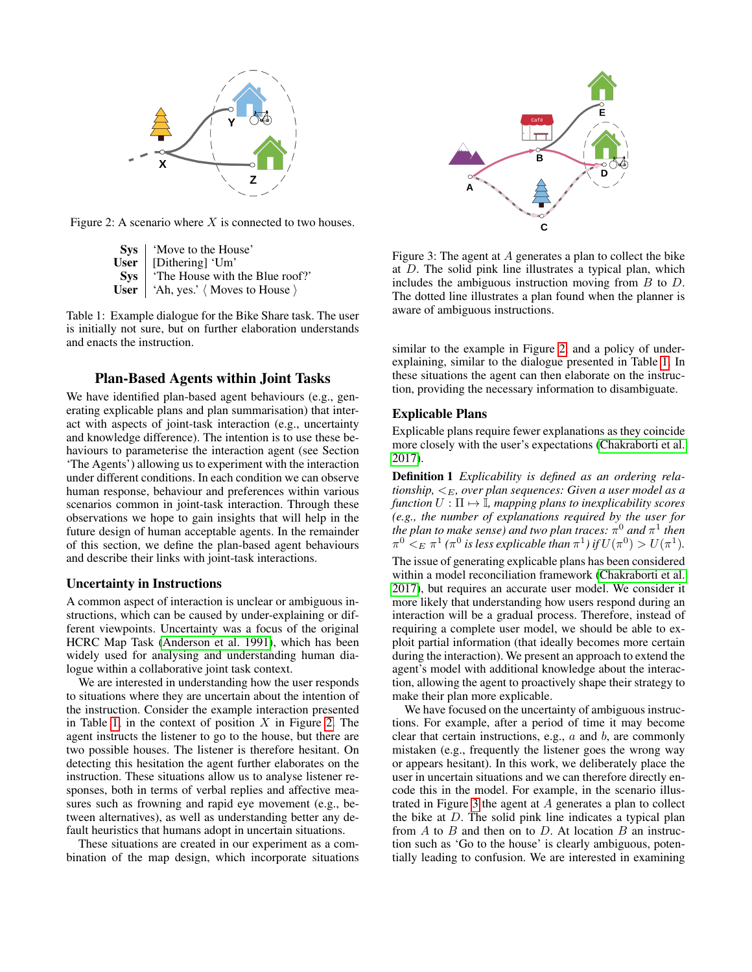

Figure 2: A scenario where  $X$  is connected to two houses.

<span id="page-2-1"></span>

|            | <b>Sys</b>   'Move to the House'                            |
|------------|-------------------------------------------------------------|
| User       | [Dithering] 'Um'                                            |
| <b>Sys</b> | 'The House with the Blue roof?'                             |
|            | <b>User</b>   'Ah, yes.' $\langle$ Moves to House $\rangle$ |

<span id="page-2-0"></span>Table 1: Example dialogue for the Bike Share task. The user is initially not sure, but on further elaboration understands and enacts the instruction.

## Plan-Based Agents within Joint Tasks

We have identified plan-based agent behaviours (e.g., generating explicable plans and plan summarisation) that interact with aspects of joint-task interaction (e.g., uncertainty and knowledge difference). The intention is to use these behaviours to parameterise the interaction agent (see Section 'The Agents') allowing us to experiment with the interaction under different conditions. In each condition we can observe human response, behaviour and preferences within various scenarios common in joint-task interaction. Through these observations we hope to gain insights that will help in the future design of human acceptable agents. In the remainder of this section, we define the plan-based agent behaviours and describe their links with joint-task interactions.

## Uncertainty in Instructions

A common aspect of interaction is unclear or ambiguous instructions, which can be caused by under-explaining or different viewpoints. Uncertainty was a focus of the original HCRC Map Task [\(Anderson et al. 1991\)](#page-8-1), which has been widely used for analysing and understanding human dialogue within a collaborative joint task context.

We are interested in understanding how the user responds to situations where they are uncertain about the intention of the instruction. Consider the example interaction presented in Table [1,](#page-2-0) in the context of position  $X$  in Figure [2.](#page-2-1) The agent instructs the listener to go to the house, but there are two possible houses. The listener is therefore hesitant. On detecting this hesitation the agent further elaborates on the instruction. These situations allow us to analyse listener responses, both in terms of verbal replies and affective measures such as frowning and rapid eye movement (e.g., between alternatives), as well as understanding better any default heuristics that humans adopt in uncertain situations.

These situations are created in our experiment as a combination of the map design, which incorporate situations



<span id="page-2-2"></span>Figure 3: The agent at A generates a plan to collect the bike at D. The solid pink line illustrates a typical plan, which includes the ambiguous instruction moving from B to D. The dotted line illustrates a plan found when the planner is aware of ambiguous instructions.

similar to the example in Figure [2,](#page-2-1) and a policy of underexplaining, similar to the dialogue presented in Table [1.](#page-2-0) In these situations the agent can then elaborate on the instruction, providing the necessary information to disambiguate.

## Explicable Plans

Explicable plans require fewer explanations as they coincide more closely with the user's expectations [\(Chakraborti et al.](#page-8-0) [2017\)](#page-8-0).

Definition 1 *Explicability is defined as an ordering relationship,*  $\lt_E$ , over plan sequences: Given a user model as a *function*  $U : \Pi \mapsto \mathbb{I}$ *, mapping plans to inexplicability scores (e.g., the number of explanations required by the user for* the plan to make sense) and two plan traces:  $\pi^0$  and  $\pi^1$  then  $\pi^0<_{E} \pi^1$  ( $\pi^0$  is less explicable than  $\pi^1$ ) if  $U(\pi^0) > U(\pi^1)$ .

The issue of generating explicable plans has been considered within a model reconciliation framework [\(Chakraborti et al.](#page-8-0) [2017\)](#page-8-0), but requires an accurate user model. We consider it more likely that understanding how users respond during an interaction will be a gradual process. Therefore, instead of requiring a complete user model, we should be able to exploit partial information (that ideally becomes more certain during the interaction). We present an approach to extend the agent's model with additional knowledge about the interaction, allowing the agent to proactively shape their strategy to make their plan more explicable.

We have focused on the uncertainty of ambiguous instructions. For example, after a period of time it may become clear that certain instructions, e.g.,  $a$  and  $b$ , are commonly mistaken (e.g., frequently the listener goes the wrong way or appears hesitant). In this work, we deliberately place the user in uncertain situations and we can therefore directly encode this in the model. For example, in the scenario illustrated in Figure [3](#page-2-2) the agent at A generates a plan to collect the bike at  $D$ . The solid pink line indicates a typical plan from  $A$  to  $B$  and then on to  $D$ . At location  $B$  an instruction such as 'Go to the house' is clearly ambiguous, potentially leading to confusion. We are interested in examining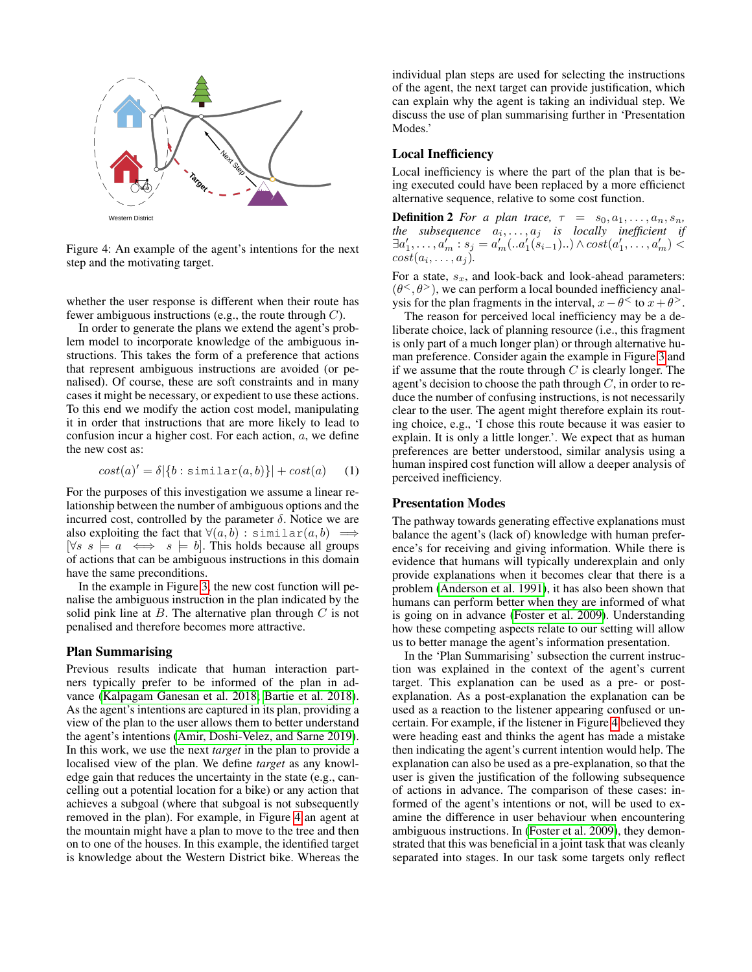

<span id="page-3-0"></span>Figure 4: An example of the agent's intentions for the next step and the motivating target.

whether the user response is different when their route has fewer ambiguous instructions (e.g., the route through  $C$ ).

In order to generate the plans we extend the agent's problem model to incorporate knowledge of the ambiguous instructions. This takes the form of a preference that actions that represent ambiguous instructions are avoided (or penalised). Of course, these are soft constraints and in many cases it might be necessary, or expedient to use these actions. To this end we modify the action cost model, manipulating it in order that instructions that are more likely to lead to confusion incur a higher cost. For each action,  $a$ , we define the new cost as:

<span id="page-3-1"></span>
$$
cost(a)' = \delta |\{b : \text{similar}(a, b)\}| + cost(a) \quad (1)
$$

For the purposes of this investigation we assume a linear relationship between the number of ambiguous options and the incurred cost, controlled by the parameter  $\delta$ . Notice we are also exploiting the fact that  $\forall (a, b) : \sin \text{ilar}(a, b) \implies$  $[\forall s \ s \models a \iff s \models b]$ . This holds because all groups of actions that can be ambiguous instructions in this domain have the same preconditions.

In the example in Figure [3,](#page-2-2) the new cost function will penalise the ambiguous instruction in the plan indicated by the solid pink line at  $B$ . The alternative plan through  $C$  is not penalised and therefore becomes more attractive.

#### Plan Summarising

Previous results indicate that human interaction partners typically prefer to be informed of the plan in advance [\(Kalpagam Ganesan et al. 2018;](#page-8-4) [Bartie et al. 2018\)](#page-8-5). As the agent's intentions are captured in its plan, providing a view of the plan to the user allows them to better understand the agent's intentions [\(Amir, Doshi-Velez, and Sarne 2019\)](#page-8-6). In this work, we use the next *target* in the plan to provide a localised view of the plan. We define *target* as any knowledge gain that reduces the uncertainty in the state (e.g., cancelling out a potential location for a bike) or any action that achieves a subgoal (where that subgoal is not subsequently removed in the plan). For example, in Figure [4](#page-3-0) an agent at the mountain might have a plan to move to the tree and then on to one of the houses. In this example, the identified target is knowledge about the Western District bike. Whereas the individual plan steps are used for selecting the instructions of the agent, the next target can provide justification, which can explain why the agent is taking an individual step. We discuss the use of plan summarising further in 'Presentation Modes.'

#### Local Inefficiency

Local inefficiency is where the part of the plan that is being executed could have been replaced by a more efficienct alternative sequence, relative to some cost function.

**Definition 2** *For a plan trace,*  $\tau = s_0, a_1, \ldots, a_n, s_n$ ,  $the$  subsequence  $a_i, \ldots, a_j$  is locally inefficient if  $\exists a'_1, \ldots, a'_m : s_j = a'_m(\ldots a'_1(\widetilde{s}_{i-1})\ldots) \wedge cost(a'_1, \ldots, a'_m) < \cdots$  $cost(a_i, \ldots, a_j)$ .

For a state,  $s_x$ , and look-back and look-ahead parameters:  $(\theta^{\lt}$ ,  $\theta^{\gt}$ ), we can perform a local bounded inefficiency analysis for the plan fragments in the interval,  $x - \theta <$  to  $x + \theta$ .

The reason for perceived local inefficiency may be a deliberate choice, lack of planning resource (i.e., this fragment is only part of a much longer plan) or through alternative human preference. Consider again the example in Figure [3](#page-2-2) and if we assume that the route through  $C$  is clearly longer. The agent's decision to choose the path through  $C$ , in order to reduce the number of confusing instructions, is not necessarily clear to the user. The agent might therefore explain its routing choice, e.g., 'I chose this route because it was easier to explain. It is only a little longer.'. We expect that as human preferences are better understood, similar analysis using a human inspired cost function will allow a deeper analysis of perceived inefficiency.

## Presentation Modes

The pathway towards generating effective explanations must balance the agent's (lack of) knowledge with human preference's for receiving and giving information. While there is evidence that humans will typically underexplain and only provide explanations when it becomes clear that there is a problem [\(Anderson et al. 1991\)](#page-8-1), it has also been shown that humans can perform better when they are informed of what is going on in advance [\(Foster et al. 2009\)](#page-8-7). Understanding how these competing aspects relate to our setting will allow us to better manage the agent's information presentation.

In the 'Plan Summarising' subsection the current instruction was explained in the context of the agent's current target. This explanation can be used as a pre- or postexplanation. As a post-explanation the explanation can be used as a reaction to the listener appearing confused or uncertain. For example, if the listener in Figure [4](#page-3-0) believed they were heading east and thinks the agent has made a mistake then indicating the agent's current intention would help. The explanation can also be used as a pre-explanation, so that the user is given the justification of the following subsequence of actions in advance. The comparison of these cases: informed of the agent's intentions or not, will be used to examine the difference in user behaviour when encountering ambiguous instructions. In [\(Foster et al. 2009\)](#page-8-7), they demonstrated that this was beneficial in a joint task that was cleanly separated into stages. In our task some targets only reflect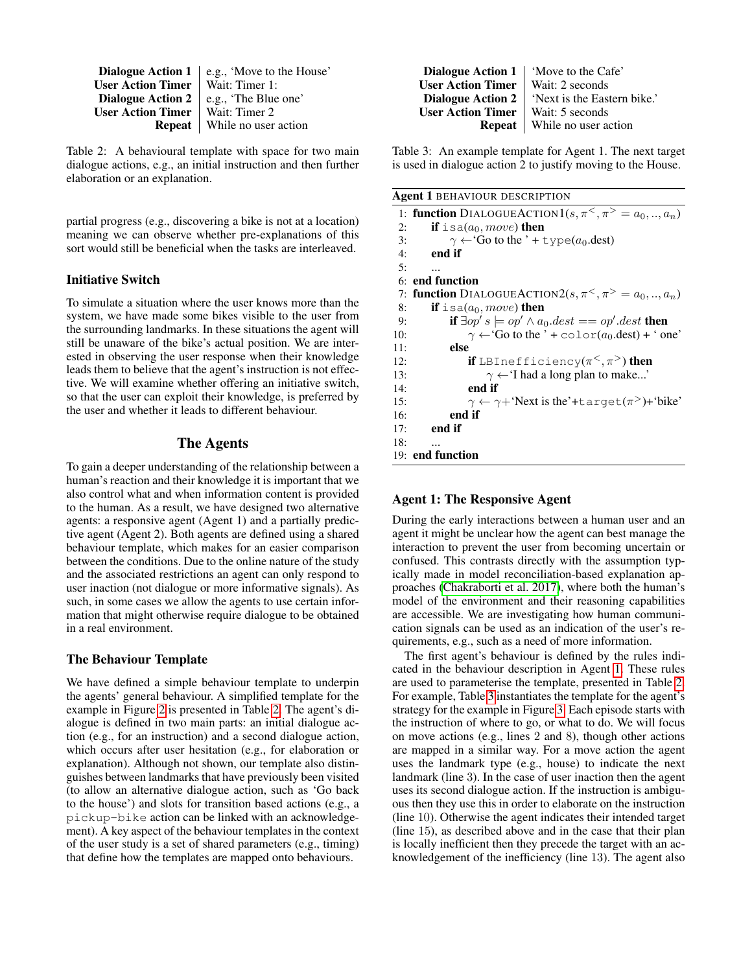**Dialogue Action 1** | e.g., 'Move to the House' User Action Timer  $\vert$  Wait: Timer 1:<br>Dialogue Action 2 e.g., 'The Blue e.g., 'The Blue one' User Action Timer | Wait: Timer 2 **Repeat** | While no user action

<span id="page-4-0"></span>Table 2: A behavioural template with space for two main dialogue actions, e.g., an initial instruction and then further elaboration or an explanation.

partial progress (e.g., discovering a bike is not at a location) meaning we can observe whether pre-explanations of this sort would still be beneficial when the tasks are interleaved.

## Initiative Switch

To simulate a situation where the user knows more than the system, we have made some bikes visible to the user from the surrounding landmarks. In these situations the agent will still be unaware of the bike's actual position. We are interested in observing the user response when their knowledge leads them to believe that the agent's instruction is not effective. We will examine whether offering an initiative switch, so that the user can exploit their knowledge, is preferred by the user and whether it leads to different behaviour.

# The Agents

To gain a deeper understanding of the relationship between a human's reaction and their knowledge it is important that we also control what and when information content is provided to the human. As a result, we have designed two alternative agents: a responsive agent (Agent 1) and a partially predictive agent (Agent 2). Both agents are defined using a shared behaviour template, which makes for an easier comparison between the conditions. Due to the online nature of the study and the associated restrictions an agent can only respond to user inaction (not dialogue or more informative signals). As such, in some cases we allow the agents to use certain information that might otherwise require dialogue to be obtained in a real environment.

## The Behaviour Template

We have defined a simple behaviour template to underpin the agents' general behaviour. A simplified template for the example in Figure [2](#page-2-1) is presented in Table [2.](#page-4-0) The agent's dialogue is defined in two main parts: an initial dialogue action (e.g., for an instruction) and a second dialogue action, which occurs after user hesitation (e.g., for elaboration or explanation). Although not shown, our template also distinguishes between landmarks that have previously been visited (to allow an alternative dialogue action, such as 'Go back to the house') and slots for transition based actions (e.g., a pickup-bike action can be linked with an acknowledgement). A key aspect of the behaviour templates in the context of the user study is a set of shared parameters (e.g., timing) that define how the templates are mapped onto behaviours.

Dialogue Action 1 | 'Move to the Cafe' User Action Timer | Wait: 2 seconds<br>Dialogue Action 2 | 'Next is the East 'Next is the Eastern bike.' User Action Timer | Wait: 5 seconds **Repeat** | While no user action

<span id="page-4-2"></span>Table 3: An example template for Agent 1. The next target is used in dialogue action 2 to justify moving to the House.

<span id="page-4-1"></span>

|  |  | <b>Agent 1 BEHAVIOUR DESCRIPTION</b> |
|--|--|--------------------------------------|
|--|--|--------------------------------------|

|     | 1: function DIALOGUEACTION $1(s, \pi^{\lt}, \pi^{\gt} = a_0, , a_n)$   |
|-----|------------------------------------------------------------------------|
| 2:  | <b>if</b> is $a(a_0, move)$ then                                       |
| 3:  | $\gamma \leftarrow$ Go to the ' + type( $a_0$ dest)                    |
| 4:  | end if                                                                 |
| 5:  |                                                                        |
|     | 6: end function                                                        |
|     | 7: function DIALOGUEACTION2 $(s, \pi^{\lt} , \pi^{\gt} = a_0, , a_n)$  |
| 8:  | <b>if</b> is a( $a_0$ , move) <b>then</b>                              |
| 9:  | if $\exists op's \models op' \land a_0dest == op'.dest$ then           |
| 10: | $\gamma \leftarrow$ Go to the ' + color(a <sub>0</sub> .dest) + ' one' |
| 11: | else                                                                   |
| 12: | <b>if</b> LBInefficiency( $\pi^<$ , $\pi^>$ ) then                     |
| 13: | $\gamma \leftarrow$ T had a long plan to make'                         |
| 14: | end if                                                                 |
| 15: | $\gamma \leftarrow \gamma +$ 'Next is the'+target( $\pi$ )+'bike'      |
| 16: | end if                                                                 |
| 17: | end if                                                                 |
| 18: |                                                                        |
|     | 19: end function                                                       |

# Agent 1: The Responsive Agent

During the early interactions between a human user and an agent it might be unclear how the agent can best manage the interaction to prevent the user from becoming uncertain or confused. This contrasts directly with the assumption typically made in model reconciliation-based explanation approaches [\(Chakraborti et al. 2017\)](#page-8-0), where both the human's model of the environment and their reasoning capabilities are accessible. We are investigating how human communication signals can be used as an indication of the user's requirements, e.g., such as a need of more information.

The first agent's behaviour is defined by the rules indicated in the behaviour description in Agent [1.](#page-4-1) These rules are used to parameterise the template, presented in Table [2.](#page-4-0) For example, Table [3](#page-4-2) instantiates the template for the agent's strategy for the example in Figure [3.](#page-2-2) Each episode starts with the instruction of where to go, or what to do. We will focus on move actions (e.g., lines 2 and 8), though other actions are mapped in a similar way. For a move action the agent uses the landmark type (e.g., house) to indicate the next landmark (line 3). In the case of user inaction then the agent uses its second dialogue action. If the instruction is ambiguous then they use this in order to elaborate on the instruction (line 10). Otherwise the agent indicates their intended target (line 15), as described above and in the case that their plan is locally inefficient then they precede the target with an acknowledgement of the inefficiency (line 13). The agent also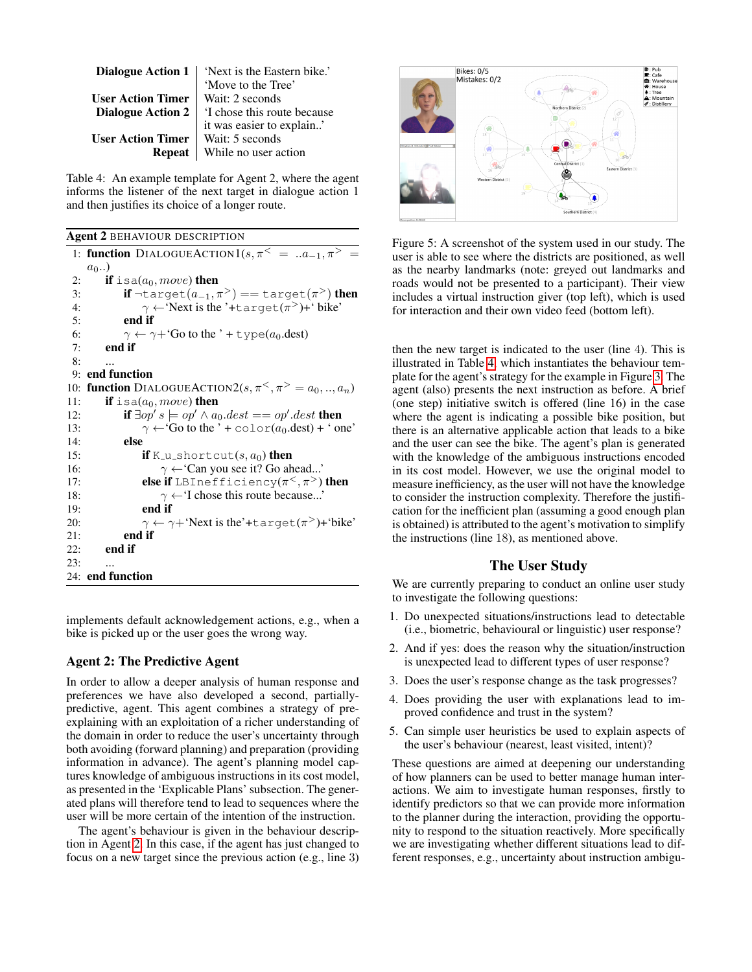|                          | <b>Dialogue Action 1</b>   'Next is the Eastern bike.' |
|--------------------------|--------------------------------------------------------|
|                          | 'Move to the Tree'                                     |
| <b>User Action Timer</b> | Wait: 2 seconds                                        |
| <b>Dialogue Action 2</b> | 'I chose this route because                            |
|                          | it was easier to explain'                              |
| <b>User Action Timer</b> | Wait: 5 seconds                                        |
| <b>Repeat</b>            | While no user action                                   |

<span id="page-5-1"></span>Table 4: An example template for Agent 2, where the agent informs the listener of the next target in dialogue action 1 and then justifies its choice of a longer route.

<span id="page-5-0"></span>

|     | <b>Agent 2 BEHAVIOUR DESCRIPTION</b>                                      |
|-----|---------------------------------------------------------------------------|
|     | 1: function DIALOGUEACTION1( $s, \pi^{\le} =  a_{-1}, \pi^{\ge} =$        |
|     | $a_0$ )                                                                   |
| 2:  | <b>if</b> is a( $a_0$ , move) <b>then</b>                                 |
| 3:  | if $\neg$ target $(a_{-1}, \pi^>) = \text{target}(\pi^>)$ then            |
| 4:  | $\gamma \leftarrow$ Next is the '+target( $\pi$ )+' bike'                 |
| 5:  | end if                                                                    |
| 6:  | $\gamma \leftarrow \gamma +$ Go to the ' + type(a <sub>0</sub> .dest)     |
| 7:  | end if                                                                    |
| 8:  | $\ddotsc$                                                                 |
| 9:  | end function                                                              |
| 10: | <b>function</b> DIALOGUEACTION2 $(s, \pi^{\lt} , \pi^{\gt} = a_0, , a_n)$ |
| 11: | if is $a(a_0, move)$ then                                                 |
| 12: | if $\exists op's \models op' \land a_0dest == op'.dest$ then              |
| 13: | $\gamma \leftarrow$ Go to the ' + color(a <sub>0</sub> .dest) + ' one'    |
| 14: | else                                                                      |
| 15: | <b>if</b> K <sub>-U-S</sub> hortcut $(s, a_0)$ then                       |
| 16: | $\gamma \leftarrow$ Can you see it? Go ahead'                             |
| 17: | <b>else if</b> LBInefficiency( $\pi^<$ , $\pi^>$ ) <b>then</b>            |
| 18: | $\gamma \leftarrow$ T chose this route because'                           |
| 19: | end if                                                                    |
| 20: | $\gamma \leftarrow \gamma +$ 'Next is the'+target( $\pi$ )+'bike'         |
| 21: | end if                                                                    |
| 22: | end if                                                                    |
| 23: |                                                                           |
|     | 24: end function                                                          |

implements default acknowledgement actions, e.g., when a bike is picked up or the user goes the wrong way.

## Agent 2: The Predictive Agent

In order to allow a deeper analysis of human response and preferences we have also developed a second, partiallypredictive, agent. This agent combines a strategy of preexplaining with an exploitation of a richer understanding of the domain in order to reduce the user's uncertainty through both avoiding (forward planning) and preparation (providing information in advance). The agent's planning model captures knowledge of ambiguous instructions in its cost model, as presented in the 'Explicable Plans' subsection. The generated plans will therefore tend to lead to sequences where the user will be more certain of the intention of the instruction.

The agent's behaviour is given in the behaviour description in Agent [2.](#page-5-0) In this case, if the agent has just changed to focus on a new target since the previous action (e.g., line 3)



<span id="page-5-2"></span>Figure 5: A screenshot of the system used in our study. The user is able to see where the districts are positioned, as well as the nearby landmarks (note: greyed out landmarks and roads would not be presented to a participant). Their view includes a virtual instruction giver (top left), which is used for interaction and their own video feed (bottom left).

then the new target is indicated to the user (line 4). This is illustrated in Table [4,](#page-5-1) which instantiates the behaviour template for the agent's strategy for the example in Figure [3.](#page-2-2) The agent (also) presents the next instruction as before. A brief (one step) initiative switch is offered (line 16) in the case where the agent is indicating a possible bike position, but there is an alternative applicable action that leads to a bike and the user can see the bike. The agent's plan is generated with the knowledge of the ambiguous instructions encoded in its cost model. However, we use the original model to measure inefficiency, as the user will not have the knowledge to consider the instruction complexity. Therefore the justification for the inefficient plan (assuming a good enough plan is obtained) is attributed to the agent's motivation to simplify the instructions (line 18), as mentioned above.

# The User Study

We are currently preparing to conduct an online user study to investigate the following questions:

- 1. Do unexpected situations/instructions lead to detectable (i.e., biometric, behavioural or linguistic) user response?
- 2. And if yes: does the reason why the situation/instruction is unexpected lead to different types of user response?
- 3. Does the user's response change as the task progresses?
- 4. Does providing the user with explanations lead to improved confidence and trust in the system?
- 5. Can simple user heuristics be used to explain aspects of the user's behaviour (nearest, least visited, intent)?

These questions are aimed at deepening our understanding of how planners can be used to better manage human interactions. We aim to investigate human responses, firstly to identify predictors so that we can provide more information to the planner during the interaction, providing the opportunity to respond to the situation reactively. More specifically we are investigating whether different situations lead to different responses, e.g., uncertainty about instruction ambigu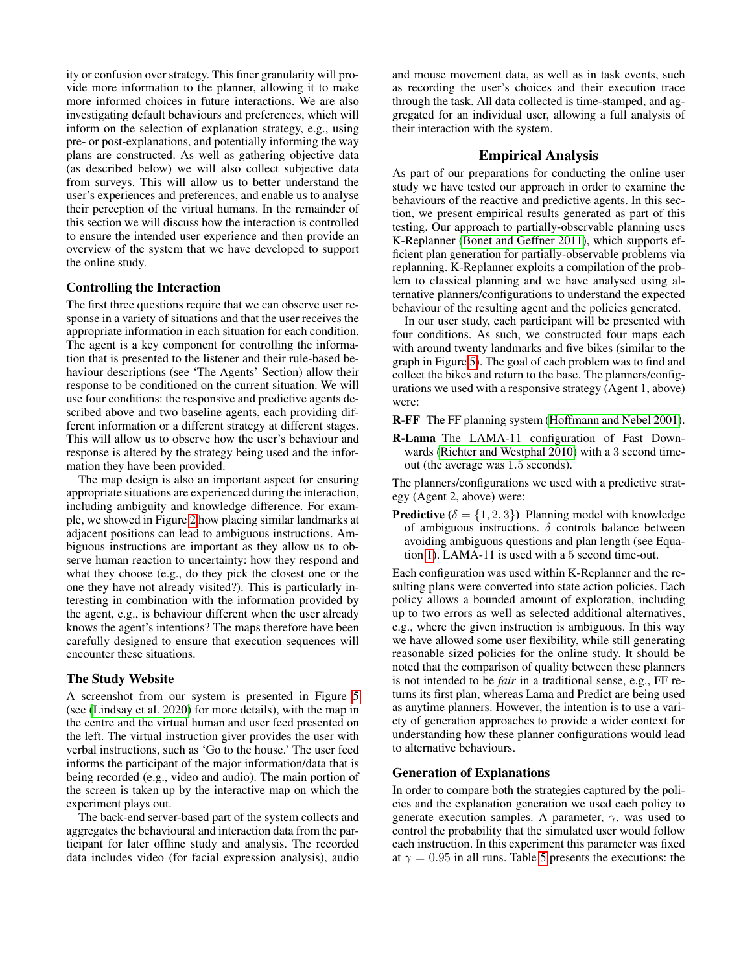ity or confusion over strategy. This finer granularity will provide more information to the planner, allowing it to make more informed choices in future interactions. We are also investigating default behaviours and preferences, which will inform on the selection of explanation strategy, e.g., using pre- or post-explanations, and potentially informing the way plans are constructed. As well as gathering objective data (as described below) we will also collect subjective data from surveys. This will allow us to better understand the user's experiences and preferences, and enable us to analyse their perception of the virtual humans. In the remainder of this section we will discuss how the interaction is controlled to ensure the intended user experience and then provide an overview of the system that we have developed to support the online study.

## Controlling the Interaction

The first three questions require that we can observe user response in a variety of situations and that the user receives the appropriate information in each situation for each condition. The agent is a key component for controlling the information that is presented to the listener and their rule-based behaviour descriptions (see 'The Agents' Section) allow their response to be conditioned on the current situation. We will use four conditions: the responsive and predictive agents described above and two baseline agents, each providing different information or a different strategy at different stages. This will allow us to observe how the user's behaviour and response is altered by the strategy being used and the information they have been provided.

The map design is also an important aspect for ensuring appropriate situations are experienced during the interaction, including ambiguity and knowledge difference. For example, we showed in Figure [2](#page-2-1) how placing similar landmarks at adjacent positions can lead to ambiguous instructions. Ambiguous instructions are important as they allow us to observe human reaction to uncertainty: how they respond and what they choose (e.g., do they pick the closest one or the one they have not already visited?). This is particularly interesting in combination with the information provided by the agent, e.g., is behaviour different when the user already knows the agent's intentions? The maps therefore have been carefully designed to ensure that execution sequences will encounter these situations.

## The Study Website

A screenshot from our system is presented in Figure [5](#page-5-2) (see [\(Lindsay et al. 2020\)](#page-8-8) for more details), with the map in the centre and the virtual human and user feed presented on the left. The virtual instruction giver provides the user with verbal instructions, such as 'Go to the house.' The user feed informs the participant of the major information/data that is being recorded (e.g., video and audio). The main portion of the screen is taken up by the interactive map on which the experiment plays out.

The back-end server-based part of the system collects and aggregates the behavioural and interaction data from the participant for later offline study and analysis. The recorded data includes video (for facial expression analysis), audio

and mouse movement data, as well as in task events, such as recording the user's choices and their execution trace through the task. All data collected is time-stamped, and aggregated for an individual user, allowing a full analysis of their interaction with the system.

## Empirical Analysis

As part of our preparations for conducting the online user study we have tested our approach in order to examine the behaviours of the reactive and predictive agents. In this section, we present empirical results generated as part of this testing. Our approach to partially-observable planning uses K-Replanner [\(Bonet and Geffner 2011\)](#page-8-3), which supports efficient plan generation for partially-observable problems via replanning. K-Replanner exploits a compilation of the problem to classical planning and we have analysed using alternative planners/configurations to understand the expected behaviour of the resulting agent and the policies generated.

In our user study, each participant will be presented with four conditions. As such, we constructed four maps each with around twenty landmarks and five bikes (similar to the graph in Figure [5\)](#page-5-2). The goal of each problem was to find and collect the bikes and return to the base. The planners/configurations we used with a responsive strategy (Agent 1, above) were:

- R-FF The FF planning system [\(Hoffmann and Nebel 2001\)](#page-8-9).
- R-Lama The LAMA-11 configuration of Fast Downwards [\(Richter and Westphal 2010\)](#page-9-0) with a 3 second timeout (the average was 1.5 seconds).

The planners/configurations we used with a predictive strategy (Agent 2, above) were:

**Predictive** ( $\delta = \{1, 2, 3\}$ ) Planning model with knowledge of ambiguous instructions.  $\delta$  controls balance between avoiding ambiguous questions and plan length (see Equation [1\)](#page-3-1). LAMA-11 is used with a 5 second time-out.

Each configuration was used within K-Replanner and the resulting plans were converted into state action policies. Each policy allows a bounded amount of exploration, including up to two errors as well as selected additional alternatives, e.g., where the given instruction is ambiguous. In this way we have allowed some user flexibility, while still generating reasonable sized policies for the online study. It should be noted that the comparison of quality between these planners is not intended to be *fair* in a traditional sense, e.g., FF returns its first plan, whereas Lama and Predict are being used as anytime planners. However, the intention is to use a variety of generation approaches to provide a wider context for understanding how these planner configurations would lead to alternative behaviours.

## Generation of Explanations

In order to compare both the strategies captured by the policies and the explanation generation we used each policy to generate execution samples. A parameter,  $\gamma$ , was used to control the probability that the simulated user would follow each instruction. In this experiment this parameter was fixed at  $\gamma = 0.95$  in all runs. Table [5](#page-7-0) presents the executions: the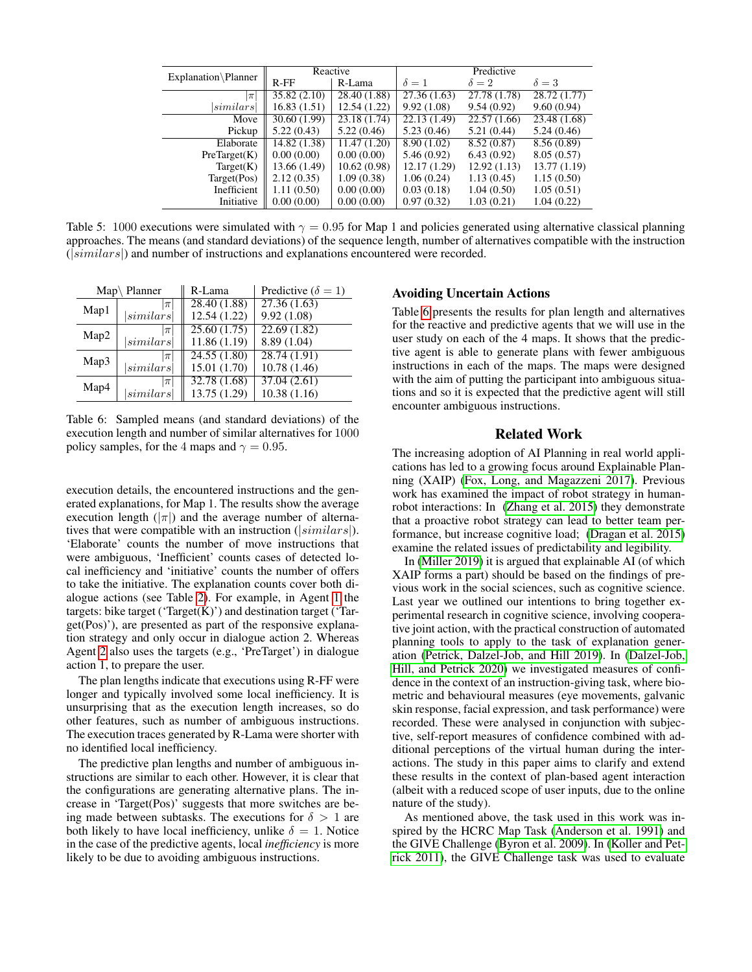|                     | Reactive     |              | Predictive                |                           |              |
|---------------------|--------------|--------------|---------------------------|---------------------------|--------------|
| Explanation\Planner | $R$ - $FF$   | R-Lama       | $\delta = 1$              | $\delta = 2$              | $\delta = 3$ |
| $\pi$               | 35.82(2.10)  | 28.40 (1.88) | 27.36(1.63)               | $\overline{27.78}$ (1.78) | 28.72 (1.77) |
| $\left sim\right $  | 16.83(1.51)  | 12.54(1.22)  | 9.92(1.08)                | 9.54(0.92)                | 9.60(0.94)   |
| Move                | 30.60 (1.99) | 23.18 (1.74) | $\overline{22.13}$ (1.49) | $\overline{22.57}$ (1.66) | 23.48 (1.68) |
| Pickup              | 5.22(0.43)   | 5.22(0.46)   | 5.23(0.46)                | 5.21(0.44)                | 5.24(0.46)   |
| Elaborate           | 14.82(1.38)  | 11.47(1.20)  | 8.90(1.02)                | 8.52(0.87)                | 8.56(0.89)   |
| PreTarget(K)        | 0.00(0.00)   | 0.00(0.00)   | 5.46(0.92)                | 6.43(0.92)                | 8.05(0.57)   |
| Target(K)           | 13.66 (1.49) | 10.62(0.98)  | 12.17 (1.29)              | 12.92(1.13)               | 13.77 (1.19) |
| Target(Pos)         | 2.12(0.35)   | 1.09(0.38)   | 1.06(0.24)                | 1.13(0.45)                | 1.15(0.50)   |
| Inefficient         | 1.11(0.50)   | 0.00(0.00)   | 0.03(0.18)                | 1.04(0.50)                | 1.05(0.51)   |
| Initiative          | 0.00(0.00)   | 0.00(0.00)   | 0.97(0.32)                | 1.03(0.21)                | 1.04(0.22)   |

<span id="page-7-0"></span>Table 5: 1000 executions were simulated with  $\gamma = 0.95$  for Map 1 and policies generated using alternative classical planning approaches. The means (and standard deviations) of the sequence length, number of alternatives compatible with the instruction  $(|similars|)$  and number of instructions and explanations encountered were recorded.

|      | $Map\backslash$ Planner | R-Lama       | Predictive ( $\delta = 1$ ) |
|------|-------------------------|--------------|-----------------------------|
| Map1 | $\pi$                   | 28.40 (1.88) | 27.36(1.63)                 |
|      | $\left similars\right $ | 12.54 (1.22) | 9.92(1.08)                  |
| Map2 | $ \pi$                  | 25.60(1.75)  | 22.69 (1.82)                |
|      | similars                | 11.86 (1.19) | 8.89 (1.04)                 |
| Map3 | $\pi$                   | 24.55(1.80)  | 28.74(1.91)                 |
|      | similars                | 15.01 (1.70) | 10.78(1.46)                 |
| Map4 | $\pi$                   | 32.78 (1.68) | 37.04(2.61)                 |
|      | $\left similars\right $ | 13.75 (1.29) | 10.38(1.16)                 |

<span id="page-7-1"></span>Table 6: Sampled means (and standard deviations) of the execution length and number of similar alternatives for 1000 policy samples, for the 4 maps and  $\gamma = 0.95$ .

execution details, the encountered instructions and the generated explanations, for Map 1. The results show the average execution length ( $|\pi|$ ) and the average number of alternatives that were compatible with an instruction ( $|similars|$ ). 'Elaborate' counts the number of move instructions that were ambiguous, 'Inefficient' counts cases of detected local inefficiency and 'initiative' counts the number of offers to take the initiative. The explanation counts cover both dialogue actions (see Table [2\)](#page-4-0). For example, in Agent [1](#page-4-1) the targets: bike target ('Target $(K)$ ') and destination target ('Target(Pos)'), are presented as part of the responsive explanation strategy and only occur in dialogue action 2. Whereas Agent [2](#page-5-0) also uses the targets (e.g., 'PreTarget') in dialogue action 1, to prepare the user.

The plan lengths indicate that executions using R-FF were longer and typically involved some local inefficiency. It is unsurprising that as the execution length increases, so do other features, such as number of ambiguous instructions. The execution traces generated by R-Lama were shorter with no identified local inefficiency.

The predictive plan lengths and number of ambiguous instructions are similar to each other. However, it is clear that the configurations are generating alternative plans. The increase in 'Target(Pos)' suggests that more switches are being made between subtasks. The executions for  $\delta > 1$  are both likely to have local inefficiency, unlike  $\delta = 1$ . Notice in the case of the predictive agents, local *inefficiency* is more likely to be due to avoiding ambiguous instructions.

#### Avoiding Uncertain Actions

Table [6](#page-7-1) presents the results for plan length and alternatives for the reactive and predictive agents that we will use in the user study on each of the 4 maps. It shows that the predictive agent is able to generate plans with fewer ambiguous instructions in each of the maps. The maps were designed with the aim of putting the participant into ambiguous situations and so it is expected that the predictive agent will still encounter ambiguous instructions.

## Related Work

The increasing adoption of AI Planning in real world applications has led to a growing focus around Explainable Planning (XAIP) [\(Fox, Long, and Magazzeni 2017\)](#page-8-10). Previous work has examined the impact of robot strategy in humanrobot interactions: In [\(Zhang et al. 2015\)](#page-9-1) they demonstrate that a proactive robot strategy can lead to better team performance, but increase cognitive load; [\(Dragan et al. 2015\)](#page-8-11) examine the related issues of predictability and legibility.

In [\(Miller 2019\)](#page-8-12) it is argued that explainable AI (of which XAIP forms a part) should be based on the findings of previous work in the social sciences, such as cognitive science. Last year we outlined our intentions to bring together experimental research in cognitive science, involving cooperative joint action, with the practical construction of automated planning tools to apply to the task of explanation generation [\(Petrick, Dalzel-Job, and Hill 2019\)](#page-8-13). In [\(Dalzel-Job,](#page-8-14) [Hill, and Petrick 2020\)](#page-8-14) we investigated measures of confidence in the context of an instruction-giving task, where biometric and behavioural measures (eye movements, galvanic skin response, facial expression, and task performance) were recorded. These were analysed in conjunction with subjective, self-report measures of confidence combined with additional perceptions of the virtual human during the interactions. The study in this paper aims to clarify and extend these results in the context of plan-based agent interaction (albeit with a reduced scope of user inputs, due to the online nature of the study).

As mentioned above, the task used in this work was inspired by the HCRC Map Task [\(Anderson et al. 1991\)](#page-8-1) and the GIVE Challenge [\(Byron et al. 2009\)](#page-8-2). In [\(Koller and Pet](#page-8-15)[rick 2011\)](#page-8-15), the GIVE Challenge task was used to evaluate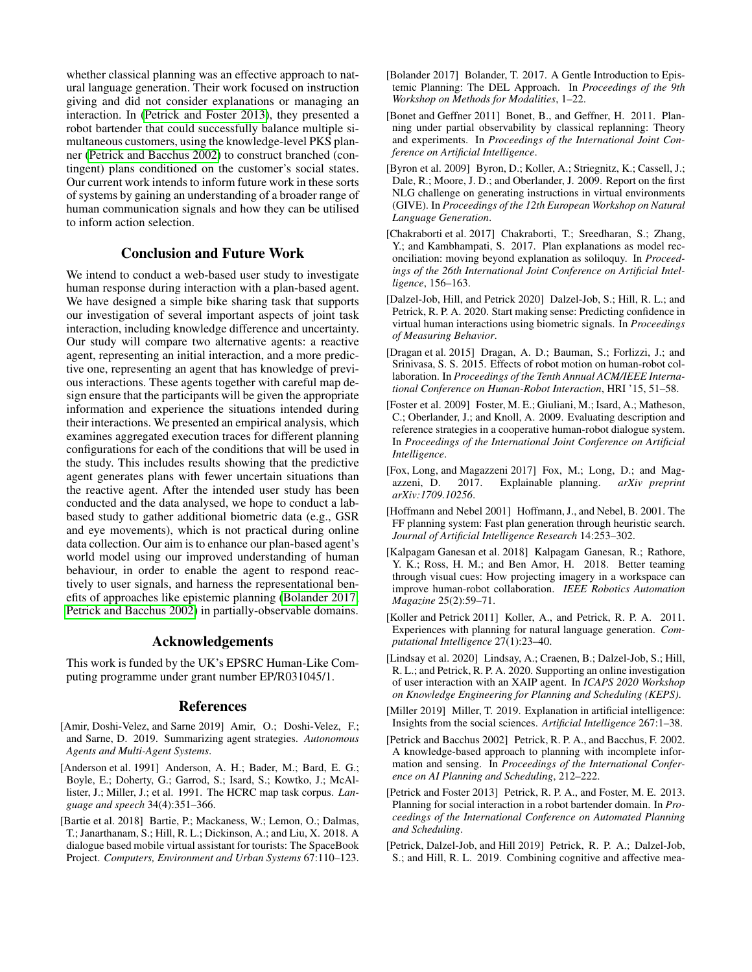whether classical planning was an effective approach to natural language generation. Their work focused on instruction giving and did not consider explanations or managing an interaction. In [\(Petrick and Foster 2013\)](#page-8-16), they presented a robot bartender that could successfully balance multiple simultaneous customers, using the knowledge-level PKS planner [\(Petrick and Bacchus 2002\)](#page-8-17) to construct branched (contingent) plans conditioned on the customer's social states. Our current work intends to inform future work in these sorts of systems by gaining an understanding of a broader range of human communication signals and how they can be utilised to inform action selection.

## Conclusion and Future Work

We intend to conduct a web-based user study to investigate human response during interaction with a plan-based agent. We have designed a simple bike sharing task that supports our investigation of several important aspects of joint task interaction, including knowledge difference and uncertainty. Our study will compare two alternative agents: a reactive agent, representing an initial interaction, and a more predictive one, representing an agent that has knowledge of previous interactions. These agents together with careful map design ensure that the participants will be given the appropriate information and experience the situations intended during their interactions. We presented an empirical analysis, which examines aggregated execution traces for different planning configurations for each of the conditions that will be used in the study. This includes results showing that the predictive agent generates plans with fewer uncertain situations than the reactive agent. After the intended user study has been conducted and the data analysed, we hope to conduct a labbased study to gather additional biometric data (e.g., GSR and eye movements), which is not practical during online data collection. Our aim is to enhance our plan-based agent's world model using our improved understanding of human behaviour, in order to enable the agent to respond reactively to user signals, and harness the representational benefits of approaches like epistemic planning [\(Bolander 2017;](#page-8-18) [Petrick and Bacchus 2002\)](#page-8-17) in partially-observable domains.

## Acknowledgements

This work is funded by the UK's EPSRC Human-Like Computing programme under grant number EP/R031045/1.

#### References

- <span id="page-8-6"></span>[Amir, Doshi-Velez, and Sarne 2019] Amir, O.; Doshi-Velez, F.; and Sarne, D. 2019. Summarizing agent strategies. *Autonomous Agents and Multi-Agent Systems*.
- <span id="page-8-1"></span>[Anderson et al. 1991] Anderson, A. H.; Bader, M.; Bard, E. G.; Boyle, E.; Doherty, G.; Garrod, S.; Isard, S.; Kowtko, J.; McAllister, J.; Miller, J.; et al. 1991. The HCRC map task corpus. *Language and speech* 34(4):351–366.
- <span id="page-8-5"></span>[Bartie et al. 2018] Bartie, P.; Mackaness, W.; Lemon, O.; Dalmas, T.; Janarthanam, S.; Hill, R. L.; Dickinson, A.; and Liu, X. 2018. A dialogue based mobile virtual assistant for tourists: The SpaceBook Project. *Computers, Environment and Urban Systems* 67:110–123.
- <span id="page-8-18"></span>[Bolander 2017] Bolander, T. 2017. A Gentle Introduction to Epistemic Planning: The DEL Approach. In *Proceedings of the 9th Workshop on Methods for Modalities*, 1–22.
- <span id="page-8-3"></span>[Bonet and Geffner 2011] Bonet, B., and Geffner, H. 2011. Planning under partial observability by classical replanning: Theory and experiments. In *Proceedings of the International Joint Conference on Artificial Intelligence*.
- <span id="page-8-2"></span>[Byron et al. 2009] Byron, D.; Koller, A.; Striegnitz, K.; Cassell, J.; Dale, R.; Moore, J. D.; and Oberlander, J. 2009. Report on the first NLG challenge on generating instructions in virtual environments (GIVE). In *Proceedings of the 12th European Workshop on Natural Language Generation*.
- <span id="page-8-0"></span>[Chakraborti et al. 2017] Chakraborti, T.; Sreedharan, S.; Zhang, Y.; and Kambhampati, S. 2017. Plan explanations as model reconciliation: moving beyond explanation as soliloquy. In *Proceedings of the 26th International Joint Conference on Artificial Intelligence*, 156–163.
- <span id="page-8-14"></span>[Dalzel-Job, Hill, and Petrick 2020] Dalzel-Job, S.; Hill, R. L.; and Petrick, R. P. A. 2020. Start making sense: Predicting confidence in virtual human interactions using biometric signals. In *Proceedings of Measuring Behavior*.
- <span id="page-8-11"></span>[Dragan et al. 2015] Dragan, A. D.; Bauman, S.; Forlizzi, J.; and Srinivasa, S. S. 2015. Effects of robot motion on human-robot collaboration. In *Proceedings of the Tenth Annual ACM/IEEE International Conference on Human-Robot Interaction*, HRI '15, 51–58.
- <span id="page-8-7"></span>[Foster et al. 2009] Foster, M. E.; Giuliani, M.; Isard, A.; Matheson, C.; Oberlander, J.; and Knoll, A. 2009. Evaluating description and reference strategies in a cooperative human-robot dialogue system. In *Proceedings of the International Joint Conference on Artificial Intelligence*.
- <span id="page-8-10"></span>[Fox, Long, and Magazzeni 2017] Fox, M.; Long, D.; and Magazzeni, D. 2017. Explainable planning. *arXiv preprint arXiv:1709.10256*.
- <span id="page-8-9"></span>[Hoffmann and Nebel 2001] Hoffmann, J., and Nebel, B. 2001. The FF planning system: Fast plan generation through heuristic search. *Journal of Artificial Intelligence Research* 14:253–302.
- <span id="page-8-4"></span>[Kalpagam Ganesan et al. 2018] Kalpagam Ganesan, R.; Rathore, Y. K.; Ross, H. M.; and Ben Amor, H. 2018. Better teaming through visual cues: How projecting imagery in a workspace can improve human-robot collaboration. *IEEE Robotics Automation Magazine* 25(2):59–71.
- <span id="page-8-15"></span>[Koller and Petrick 2011] Koller, A., and Petrick, R. P. A. 2011. Experiences with planning for natural language generation. *Computational Intelligence* 27(1):23–40.
- <span id="page-8-8"></span>[Lindsay et al. 2020] Lindsay, A.; Craenen, B.; Dalzel-Job, S.; Hill, R. L.; and Petrick, R. P. A. 2020. Supporting an online investigation of user interaction with an XAIP agent. In *ICAPS 2020 Workshop on Knowledge Engineering for Planning and Scheduling (KEPS)*.
- <span id="page-8-12"></span>[Miller 2019] Miller, T. 2019. Explanation in artificial intelligence: Insights from the social sciences. *Artificial Intelligence* 267:1–38.
- <span id="page-8-17"></span>[Petrick and Bacchus 2002] Petrick, R. P. A., and Bacchus, F. 2002. A knowledge-based approach to planning with incomplete information and sensing. In *Proceedings of the International Conference on AI Planning and Scheduling*, 212–222.
- <span id="page-8-16"></span>[Petrick and Foster 2013] Petrick, R. P. A., and Foster, M. E. 2013. Planning for social interaction in a robot bartender domain. In *Proceedings of the International Conference on Automated Planning and Scheduling*.
- <span id="page-8-13"></span>[Petrick, Dalzel-Job, and Hill 2019] Petrick, R. P. A.; Dalzel-Job, S.; and Hill, R. L. 2019. Combining cognitive and affective mea-